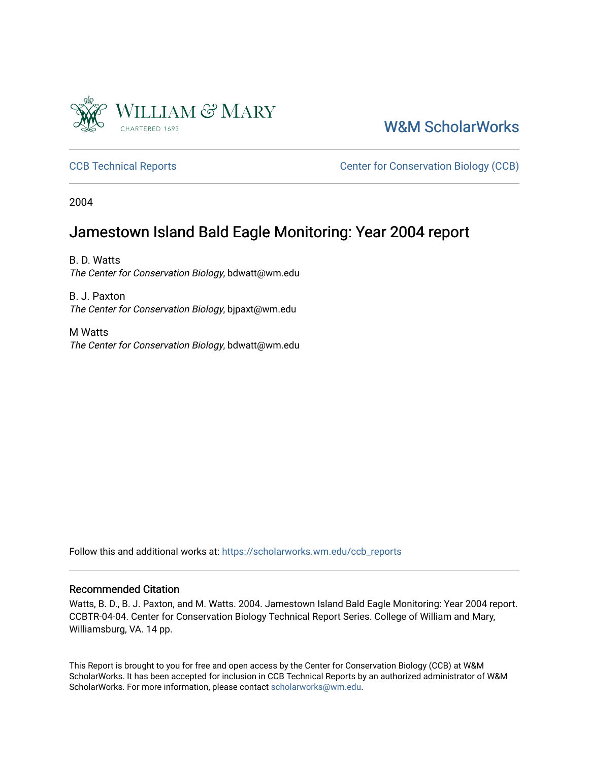

[W&M ScholarWorks](https://scholarworks.wm.edu/) 

[CCB Technical Reports](https://scholarworks.wm.edu/ccb_reports) **CCB** Technical Reports **CCB** Center for Conservation Biology (CCB)

2004

### Jamestown Island Bald Eagle Monitoring: Year 2004 report

B. D. Watts The Center for Conservation Biology, bdwatt@wm.edu

B. J. Paxton The Center for Conservation Biology, bjpaxt@wm.edu

M Watts The Center for Conservation Biology, bdwatt@wm.edu

Follow this and additional works at: [https://scholarworks.wm.edu/ccb\\_reports](https://scholarworks.wm.edu/ccb_reports?utm_source=scholarworks.wm.edu%2Fccb_reports%2F410&utm_medium=PDF&utm_campaign=PDFCoverPages) 

#### Recommended Citation

Watts, B. D., B. J. Paxton, and M. Watts. 2004. Jamestown Island Bald Eagle Monitoring: Year 2004 report. CCBTR-04-04. Center for Conservation Biology Technical Report Series. College of William and Mary, Williamsburg, VA. 14 pp.

This Report is brought to you for free and open access by the Center for Conservation Biology (CCB) at W&M ScholarWorks. It has been accepted for inclusion in CCB Technical Reports by an authorized administrator of W&M ScholarWorks. For more information, please contact [scholarworks@wm.edu.](mailto:scholarworks@wm.edu)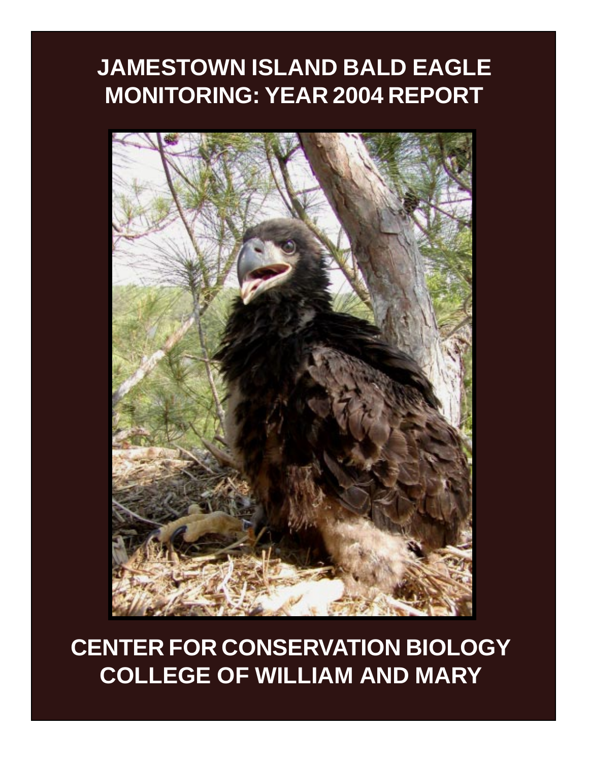# **JAMESTOWN ISLAND BALD EAGLE MONITORING: YEAR 2004 REPORT**



**CENTER FOR CONSERVATION BIOLOGY COLLEGE OF WILLIAM AND MARY**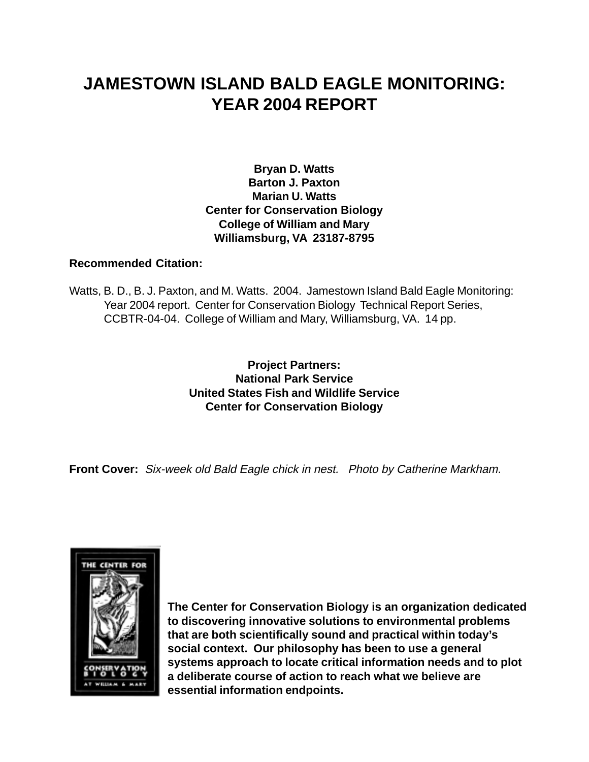# **JAMESTOWN ISLAND BALD EAGLE MONITORING: YEAR 2004 REPORT**

**Bryan D. Watts Barton J. Paxton Marian U. Watts Center for Conservation Biology College of William and Mary Williamsburg, VA 23187-8795**

#### **Recommended Citation:**

Watts, B. D., B. J. Paxton, and M. Watts. 2004. Jamestown Island Bald Eagle Monitoring: Year 2004 report. Center for Conservation Biology Technical Report Series, CCBTR-04-04. College of William and Mary, Williamsburg, VA. 14 pp.

> **Project Partners: National Park Service United States Fish and Wildlife Service Center for Conservation Biology**

**Front Cover:** Six-week old Bald Eagle chick in nest. Photo by Catherine Markham.



**The Center for Conservation Biology is an organization dedicated to discovering innovative solutions to environmental problems that are both scientifically sound and practical within today's social context. Our philosophy has been to use a general systems approach to locate critical information needs and to plot a deliberate course of action to reach what we believe are essential information endpoints.**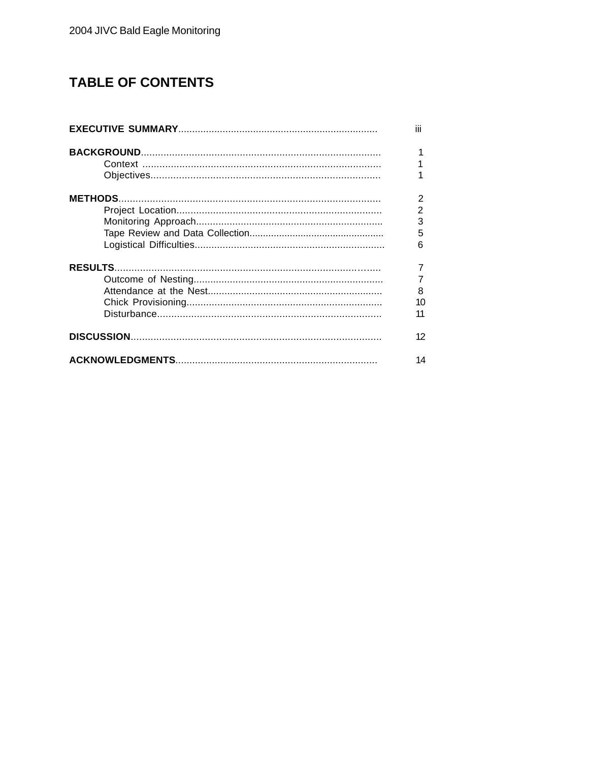## **TABLE OF CONTENTS**

| ĨЙ                                              |
|-------------------------------------------------|
| 1                                               |
| $\overline{2}$<br>$\overline{2}$<br>3<br>5<br>6 |
| $\overline{7}$<br>7<br>8<br>10<br>11            |
| 12                                              |
| 14                                              |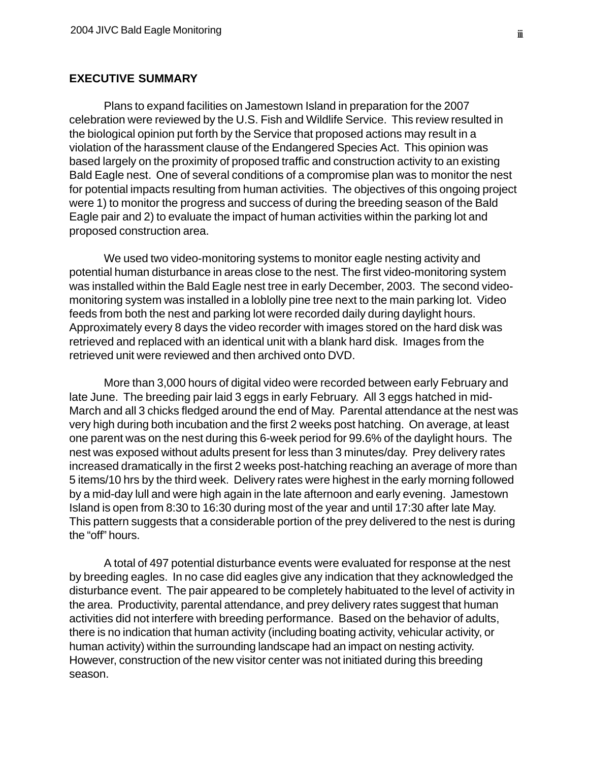#### **EXECUTIVE SUMMARY**

Plans to expand facilities on Jamestown Island in preparation for the 2007 celebration were reviewed by the U.S. Fish and Wildlife Service. This review resulted in the biological opinion put forth by the Service that proposed actions may result in a violation of the harassment clause of the Endangered Species Act. This opinion was based largely on the proximity of proposed traffic and construction activity to an existing Bald Eagle nest. One of several conditions of a compromise plan was to monitor the nest for potential impacts resulting from human activities. The objectives of this ongoing project were 1) to monitor the progress and success of during the breeding season of the Bald Eagle pair and 2) to evaluate the impact of human activities within the parking lot and proposed construction area.

We used two video-monitoring systems to monitor eagle nesting activity and potential human disturbance in areas close to the nest. The first video-monitoring system was installed within the Bald Eagle nest tree in early December, 2003. The second videomonitoring system was installed in a loblolly pine tree next to the main parking lot. Video feeds from both the nest and parking lot were recorded daily during daylight hours. Approximately every 8 days the video recorder with images stored on the hard disk was retrieved and replaced with an identical unit with a blank hard disk. Images from the retrieved unit were reviewed and then archived onto DVD.

More than 3,000 hours of digital video were recorded between early February and late June. The breeding pair laid 3 eggs in early February. All 3 eggs hatched in mid-March and all 3 chicks fledged around the end of May. Parental attendance at the nest was very high during both incubation and the first 2 weeks post hatching. On average, at least one parent was on the nest during this 6-week period for 99.6% of the daylight hours. The nest was exposed without adults present for less than 3 minutes/day. Prey delivery rates increased dramatically in the first 2 weeks post-hatching reaching an average of more than 5 items/10 hrs by the third week. Delivery rates were highest in the early morning followed by a mid-day lull and were high again in the late afternoon and early evening. Jamestown Island is open from 8:30 to 16:30 during most of the year and until 17:30 after late May. This pattern suggests that a considerable portion of the prey delivered to the nest is during the "off" hours.

A total of 497 potential disturbance events were evaluated for response at the nest by breeding eagles. In no case did eagles give any indication that they acknowledged the disturbance event. The pair appeared to be completely habituated to the level of activity in the area. Productivity, parental attendance, and prey delivery rates suggest that human activities did not interfere with breeding performance. Based on the behavior of adults, there is no indication that human activity (including boating activity, vehicular activity, or human activity) within the surrounding landscape had an impact on nesting activity. However, construction of the new visitor center was not initiated during this breeding season.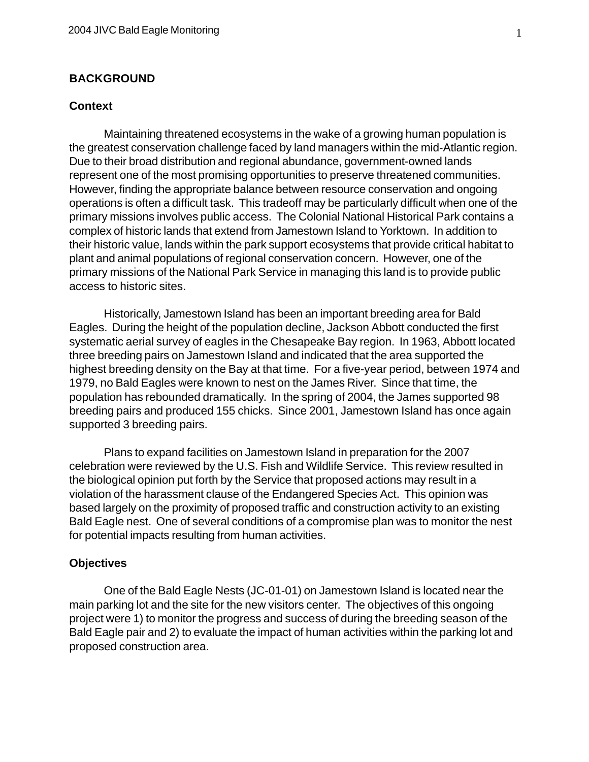#### **BACKGROUND**

#### **Context**

Maintaining threatened ecosystems in the wake of a growing human population is the greatest conservation challenge faced by land managers within the mid-Atlantic region. Due to their broad distribution and regional abundance, government-owned lands represent one of the most promising opportunities to preserve threatened communities. However, finding the appropriate balance between resource conservation and ongoing operations is often a difficult task. This tradeoff may be particularly difficult when one of the primary missions involves public access. The Colonial National Historical Park contains a complex of historic lands that extend from Jamestown Island to Yorktown. In addition to their historic value, lands within the park support ecosystems that provide critical habitat to plant and animal populations of regional conservation concern. However, one of the primary missions of the National Park Service in managing this land is to provide public access to historic sites.

Historically, Jamestown Island has been an important breeding area for Bald Eagles. During the height of the population decline, Jackson Abbott conducted the first systematic aerial survey of eagles in the Chesapeake Bay region. In 1963, Abbott located three breeding pairs on Jamestown Island and indicated that the area supported the highest breeding density on the Bay at that time. For a five-year period, between 1974 and 1979, no Bald Eagles were known to nest on the James River. Since that time, the population has rebounded dramatically. In the spring of 2004, the James supported 98 breeding pairs and produced 155 chicks. Since 2001, Jamestown Island has once again supported 3 breeding pairs.

Plans to expand facilities on Jamestown Island in preparation for the 2007 celebration were reviewed by the U.S. Fish and Wildlife Service. This review resulted in the biological opinion put forth by the Service that proposed actions may result in a violation of the harassment clause of the Endangered Species Act. This opinion was based largely on the proximity of proposed traffic and construction activity to an existing Bald Eagle nest. One of several conditions of a compromise plan was to monitor the nest for potential impacts resulting from human activities.

#### **Objectives**

One of the Bald Eagle Nests (JC-01-01) on Jamestown Island is located near the main parking lot and the site for the new visitors center. The objectives of this ongoing project were 1) to monitor the progress and success of during the breeding season of the Bald Eagle pair and 2) to evaluate the impact of human activities within the parking lot and proposed construction area.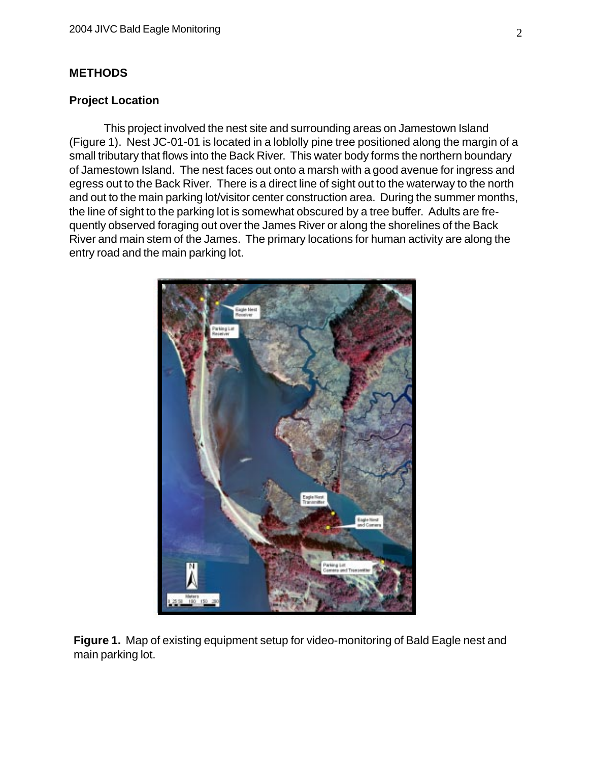#### **METHODS**

#### **Project Location**

This project involved the nest site and surrounding areas on Jamestown Island (Figure 1). Nest JC-01-01 is located in a loblolly pine tree positioned along the margin of a small tributary that flows into the Back River. This water body forms the northern boundary of Jamestown Island. The nest faces out onto a marsh with a good avenue for ingress and egress out to the Back River. There is a direct line of sight out to the waterway to the north and out to the main parking lot/visitor center construction area. During the summer months, the line of sight to the parking lot is somewhat obscured by a tree buffer. Adults are frequently observed foraging out over the James River or along the shorelines of the Back River and main stem of the James. The primary locations for human activity are along the entry road and the main parking lot.



**Figure 1.** Map of existing equipment setup for video-monitoring of Bald Eagle nest and main parking lot.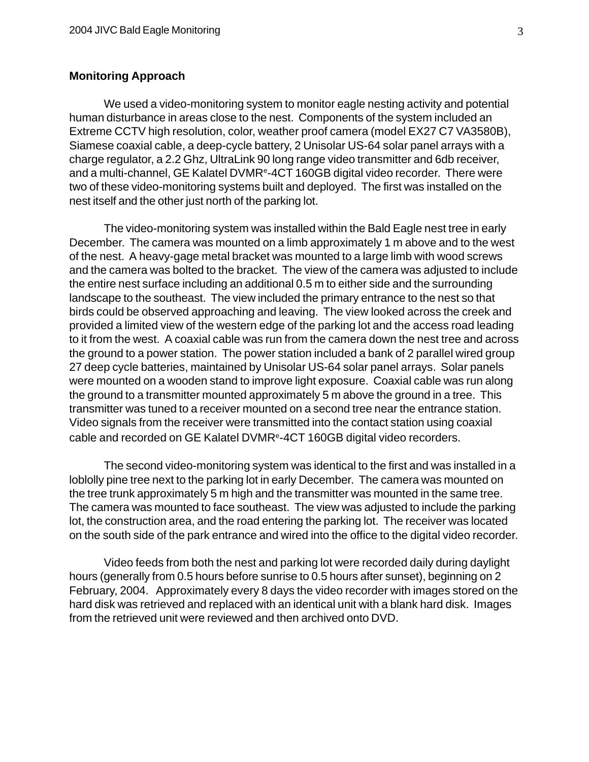#### **Monitoring Approach**

We used a video-monitoring system to monitor eagle nesting activity and potential human disturbance in areas close to the nest. Components of the system included an Extreme CCTV high resolution, color, weather proof camera (model EX27 C7 VA3580B), Siamese coaxial cable, a deep-cycle battery, 2 Unisolar US-64 solar panel arrays with a charge regulator, a 2.2 Ghz, UltraLink 90 long range video transmitter and 6db receiver, and a multi-channel, GE Kalatel DVMR<sup>e</sup>-4CT 160GB digital video recorder. There were two of these video-monitoring systems built and deployed. The first was installed on the nest itself and the other just north of the parking lot.

The video-monitoring system was installed within the Bald Eagle nest tree in early December. The camera was mounted on a limb approximately 1 m above and to the west of the nest. A heavy-gage metal bracket was mounted to a large limb with wood screws and the camera was bolted to the bracket. The view of the camera was adjusted to include the entire nest surface including an additional 0.5 m to either side and the surrounding landscape to the southeast. The view included the primary entrance to the nest so that birds could be observed approaching and leaving. The view looked across the creek and provided a limited view of the western edge of the parking lot and the access road leading to it from the west. A coaxial cable was run from the camera down the nest tree and across the ground to a power station. The power station included a bank of 2 parallel wired group 27 deep cycle batteries, maintained by Unisolar US-64 solar panel arrays. Solar panels were mounted on a wooden stand to improve light exposure. Coaxial cable was run along the ground to a transmitter mounted approximately 5 m above the ground in a tree. This transmitter was tuned to a receiver mounted on a second tree near the entrance station. Video signals from the receiver were transmitted into the contact station using coaxial cable and recorded on GE Kalatel DVMRe-4CT 160GB digital video recorders.

The second video-monitoring system was identical to the first and was installed in a loblolly pine tree next to the parking lot in early December. The camera was mounted on the tree trunk approximately 5 m high and the transmitter was mounted in the same tree. The camera was mounted to face southeast. The view was adjusted to include the parking lot, the construction area, and the road entering the parking lot. The receiver was located on the south side of the park entrance and wired into the office to the digital video recorder.

Video feeds from both the nest and parking lot were recorded daily during daylight hours (generally from 0.5 hours before sunrise to 0.5 hours after sunset), beginning on 2 February, 2004. Approximately every 8 days the video recorder with images stored on the hard disk was retrieved and replaced with an identical unit with a blank hard disk. Images from the retrieved unit were reviewed and then archived onto DVD.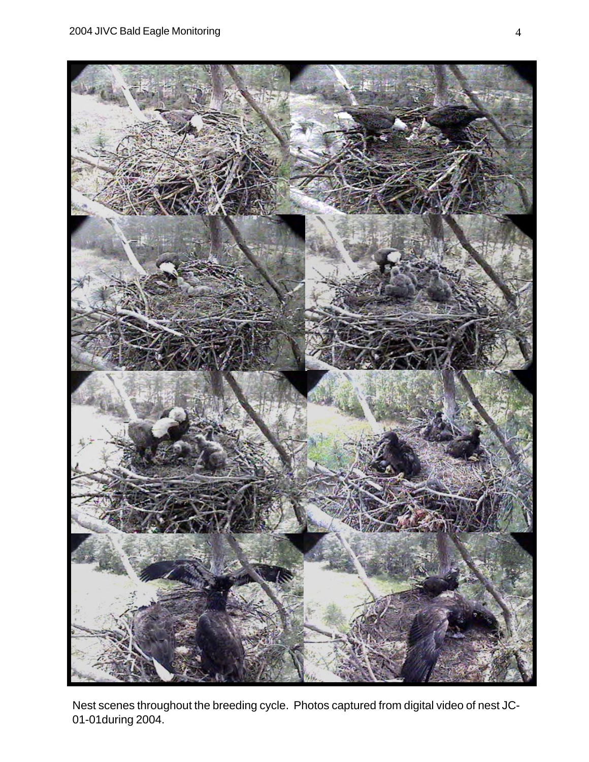

Nest scenes throughout the breeding cycle. Photos captured from digital video of nest JC-01-01during 2004.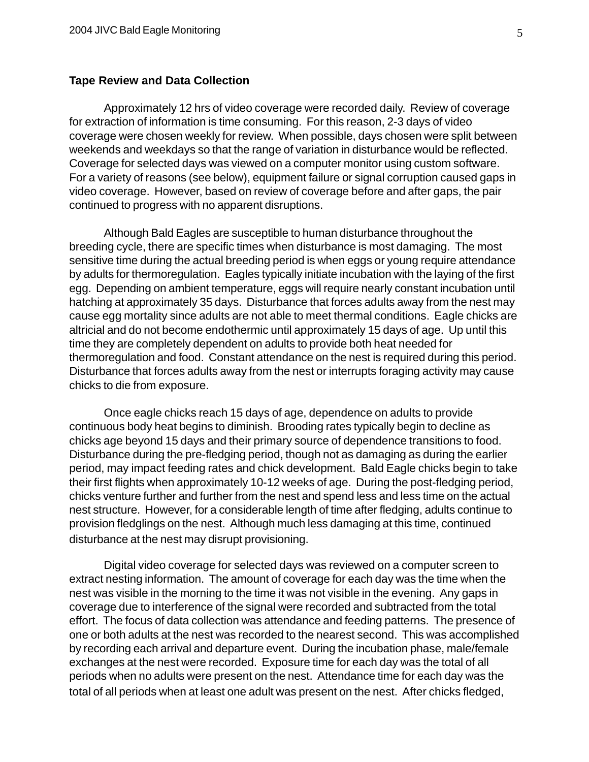#### **Tape Review and Data Collection**

Approximately 12 hrs of video coverage were recorded daily. Review of coverage for extraction of information is time consuming. For this reason, 2-3 days of video coverage were chosen weekly for review. When possible, days chosen were split between weekends and weekdays so that the range of variation in disturbance would be reflected. Coverage for selected days was viewed on a computer monitor using custom software. For a variety of reasons (see below), equipment failure or signal corruption caused gaps in video coverage. However, based on review of coverage before and after gaps, the pair continued to progress with no apparent disruptions.

Although Bald Eagles are susceptible to human disturbance throughout the breeding cycle, there are specific times when disturbance is most damaging. The most sensitive time during the actual breeding period is when eggs or young require attendance by adults for thermoregulation. Eagles typically initiate incubation with the laying of the first egg. Depending on ambient temperature, eggs will require nearly constant incubation until hatching at approximately 35 days. Disturbance that forces adults away from the nest may cause egg mortality since adults are not able to meet thermal conditions. Eagle chicks are altricial and do not become endothermic until approximately 15 days of age. Up until this time they are completely dependent on adults to provide both heat needed for thermoregulation and food. Constant attendance on the nest is required during this period. Disturbance that forces adults away from the nest or interrupts foraging activity may cause chicks to die from exposure.

Once eagle chicks reach 15 days of age, dependence on adults to provide continuous body heat begins to diminish. Brooding rates typically begin to decline as chicks age beyond 15 days and their primary source of dependence transitions to food. Disturbance during the pre-fledging period, though not as damaging as during the earlier period, may impact feeding rates and chick development. Bald Eagle chicks begin to take their first flights when approximately 10-12 weeks of age. During the post-fledging period, chicks venture further and further from the nest and spend less and less time on the actual nest structure. However, for a considerable length of time after fledging, adults continue to provision fledglings on the nest. Although much less damaging at this time, continued disturbance at the nest may disrupt provisioning.

Digital video coverage for selected days was reviewed on a computer screen to extract nesting information. The amount of coverage for each day was the time when the nest was visible in the morning to the time it was not visible in the evening. Any gaps in coverage due to interference of the signal were recorded and subtracted from the total effort. The focus of data collection was attendance and feeding patterns. The presence of one or both adults at the nest was recorded to the nearest second. This was accomplished by recording each arrival and departure event. During the incubation phase, male/female exchanges at the nest were recorded. Exposure time for each day was the total of all periods when no adults were present on the nest. Attendance time for each day was the total of all periods when at least one adult was present on the nest. After chicks fledged,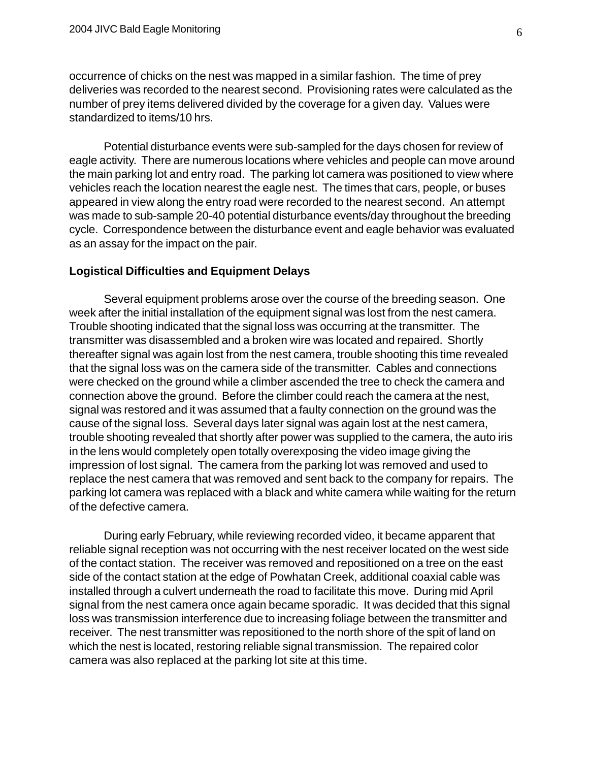occurrence of chicks on the nest was mapped in a similar fashion. The time of prey deliveries was recorded to the nearest second. Provisioning rates were calculated as the number of prey items delivered divided by the coverage for a given day. Values were standardized to items/10 hrs.

Potential disturbance events were sub-sampled for the days chosen for review of eagle activity. There are numerous locations where vehicles and people can move around the main parking lot and entry road. The parking lot camera was positioned to view where vehicles reach the location nearest the eagle nest. The times that cars, people, or buses appeared in view along the entry road were recorded to the nearest second. An attempt was made to sub-sample 20-40 potential disturbance events/day throughout the breeding cycle. Correspondence between the disturbance event and eagle behavior was evaluated as an assay for the impact on the pair.

#### **Logistical Difficulties and Equipment Delays**

Several equipment problems arose over the course of the breeding season. One week after the initial installation of the equipment signal was lost from the nest camera. Trouble shooting indicated that the signal loss was occurring at the transmitter. The transmitter was disassembled and a broken wire was located and repaired. Shortly thereafter signal was again lost from the nest camera, trouble shooting this time revealed that the signal loss was on the camera side of the transmitter. Cables and connections were checked on the ground while a climber ascended the tree to check the camera and connection above the ground. Before the climber could reach the camera at the nest, signal was restored and it was assumed that a faulty connection on the ground was the cause of the signal loss. Several days later signal was again lost at the nest camera, trouble shooting revealed that shortly after power was supplied to the camera, the auto iris in the lens would completely open totally overexposing the video image giving the impression of lost signal. The camera from the parking lot was removed and used to replace the nest camera that was removed and sent back to the company for repairs. The parking lot camera was replaced with a black and white camera while waiting for the return of the defective camera.

During early February, while reviewing recorded video, it became apparent that reliable signal reception was not occurring with the nest receiver located on the west side of the contact station. The receiver was removed and repositioned on a tree on the east side of the contact station at the edge of Powhatan Creek, additional coaxial cable was installed through a culvert underneath the road to facilitate this move. During mid April signal from the nest camera once again became sporadic. It was decided that this signal loss was transmission interference due to increasing foliage between the transmitter and receiver. The nest transmitter was repositioned to the north shore of the spit of land on which the nest is located, restoring reliable signal transmission. The repaired color camera was also replaced at the parking lot site at this time.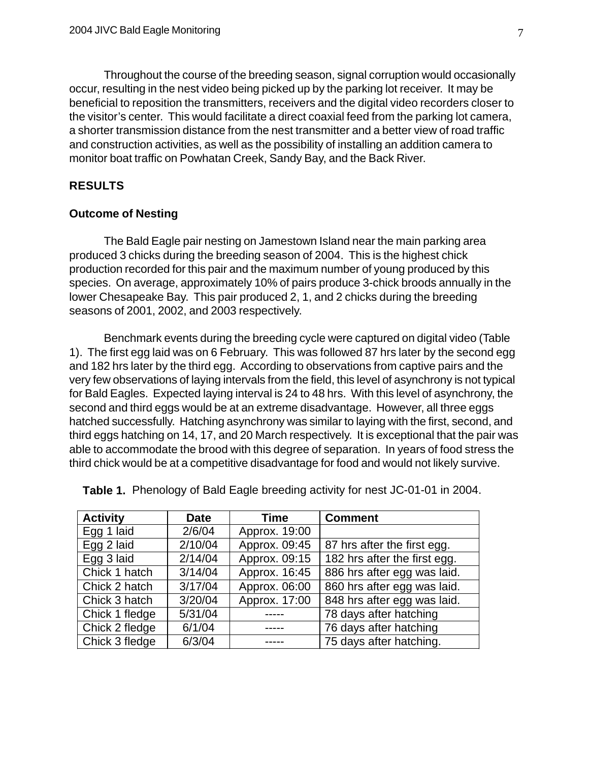Throughout the course of the breeding season, signal corruption would occasionally occur, resulting in the nest video being picked up by the parking lot receiver. It may be beneficial to reposition the transmitters, receivers and the digital video recorders closer to the visitor's center. This would facilitate a direct coaxial feed from the parking lot camera, a shorter transmission distance from the nest transmitter and a better view of road traffic and construction activities, as well as the possibility of installing an addition camera to monitor boat traffic on Powhatan Creek, Sandy Bay, and the Back River.

#### **RESULTS**

#### **Outcome of Nesting**

The Bald Eagle pair nesting on Jamestown Island near the main parking area produced 3 chicks during the breeding season of 2004. This is the highest chick production recorded for this pair and the maximum number of young produced by this species. On average, approximately 10% of pairs produce 3-chick broods annually in the lower Chesapeake Bay. This pair produced 2, 1, and 2 chicks during the breeding seasons of 2001, 2002, and 2003 respectively.

Benchmark events during the breeding cycle were captured on digital video (Table 1). The first egg laid was on 6 February. This was followed 87 hrs later by the second egg and 182 hrs later by the third egg. According to observations from captive pairs and the very few observations of laying intervals from the field, this level of asynchrony is not typical for Bald Eagles. Expected laying interval is 24 to 48 hrs. With this level of asynchrony, the second and third eggs would be at an extreme disadvantage. However, all three eggs hatched successfully. Hatching asynchrony was similar to laying with the first, second, and third eggs hatching on 14, 17, and 20 March respectively. It is exceptional that the pair was able to accommodate the brood with this degree of separation. In years of food stress the third chick would be at a competitive disadvantage for food and would not likely survive.

| <b>Activity</b> | <b>Date</b> | <b>Time</b>   | <b>Comment</b>               |
|-----------------|-------------|---------------|------------------------------|
| Egg 1 laid      | 2/6/04      | Approx. 19:00 |                              |
| Egg 2 laid      | 2/10/04     | Approx. 09:45 | 87 hrs after the first egg.  |
| Egg 3 laid      | 2/14/04     | Approx. 09:15 | 182 hrs after the first egg. |
| Chick 1 hatch   | 3/14/04     | Approx. 16:45 | 886 hrs after egg was laid.  |
| Chick 2 hatch   | 3/17/04     | Approx. 06:00 | 860 hrs after egg was laid.  |
| Chick 3 hatch   | 3/20/04     | Approx. 17:00 | 848 hrs after egg was laid.  |
| Chick 1 fledge  | 5/31/04     |               | 78 days after hatching       |
| Chick 2 fledge  | 6/1/04      | -----         | 76 days after hatching       |
| Chick 3 fledge  | 6/3/04      |               | 75 days after hatching.      |

**Table 1.** Phenology of Bald Eagle breeding activity for nest JC-01-01 in 2004.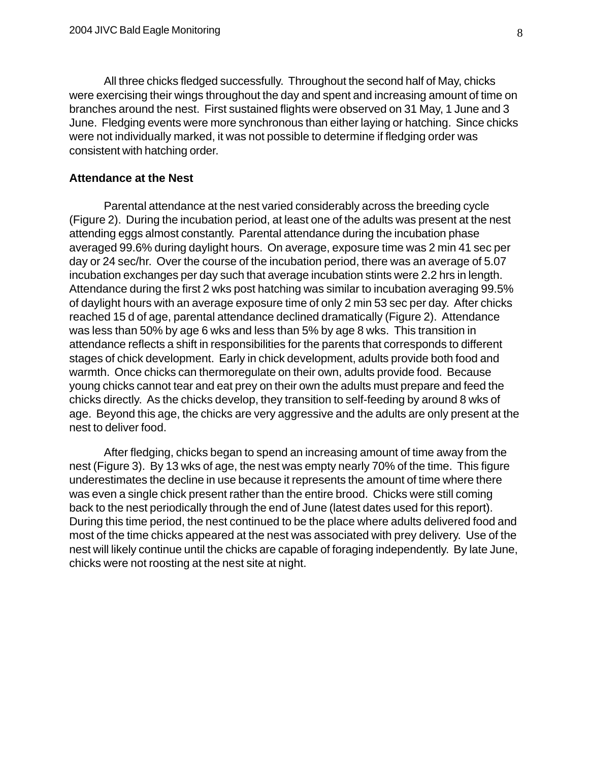All three chicks fledged successfully. Throughout the second half of May, chicks were exercising their wings throughout the day and spent and increasing amount of time on branches around the nest. First sustained flights were observed on 31 May, 1 June and 3 June. Fledging events were more synchronous than either laying or hatching. Since chicks were not individually marked, it was not possible to determine if fledging order was consistent with hatching order.

#### **Attendance at the Nest**

Parental attendance at the nest varied considerably across the breeding cycle (Figure 2). During the incubation period, at least one of the adults was present at the nest attending eggs almost constantly. Parental attendance during the incubation phase averaged 99.6% during daylight hours. On average, exposure time was 2 min 41 sec per day or 24 sec/hr. Over the course of the incubation period, there was an average of 5.07 incubation exchanges per day such that average incubation stints were 2.2 hrs in length. Attendance during the first 2 wks post hatching was similar to incubation averaging 99.5% of daylight hours with an average exposure time of only 2 min 53 sec per day. After chicks reached 15 d of age, parental attendance declined dramatically (Figure 2). Attendance was less than 50% by age 6 wks and less than 5% by age 8 wks. This transition in attendance reflects a shift in responsibilities for the parents that corresponds to different stages of chick development. Early in chick development, adults provide both food and warmth. Once chicks can thermoregulate on their own, adults provide food. Because young chicks cannot tear and eat prey on their own the adults must prepare and feed the chicks directly. As the chicks develop, they transition to self-feeding by around 8 wks of age. Beyond this age, the chicks are very aggressive and the adults are only present at the nest to deliver food.

After fledging, chicks began to spend an increasing amount of time away from the nest (Figure 3). By 13 wks of age, the nest was empty nearly 70% of the time. This figure underestimates the decline in use because it represents the amount of time where there was even a single chick present rather than the entire brood. Chicks were still coming back to the nest periodically through the end of June (latest dates used for this report). During this time period, the nest continued to be the place where adults delivered food and most of the time chicks appeared at the nest was associated with prey delivery. Use of the nest will likely continue until the chicks are capable of foraging independently. By late June, chicks were not roosting at the nest site at night.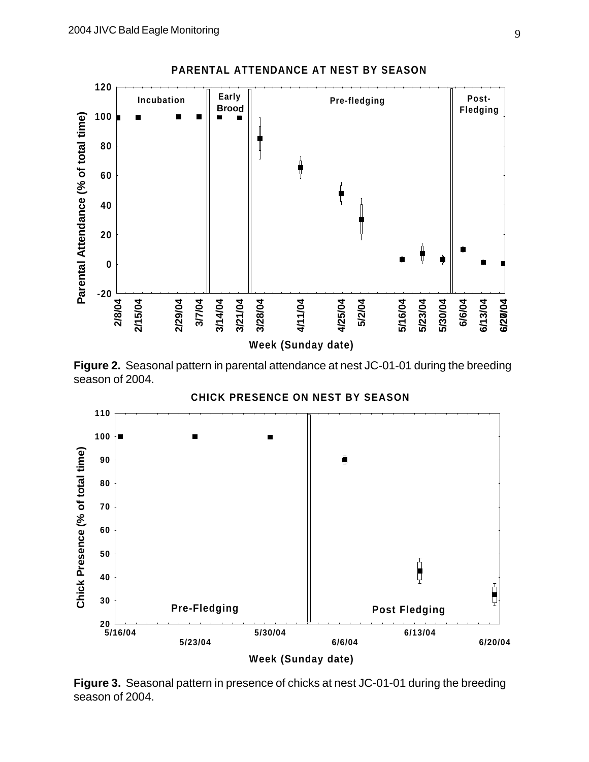

**Figure 2.** Seasonal pattern in parental attendance at nest JC-01-01 during the breeding season of 2004.

**CHICK PRESENCE ON NEST BY SEASON**



**Figure 3.** Seasonal pattern in presence of chicks at nest JC-01-01 during the breeding season of 2004.

**PARENTAL ATTENDANCE AT NEST BY SEASON**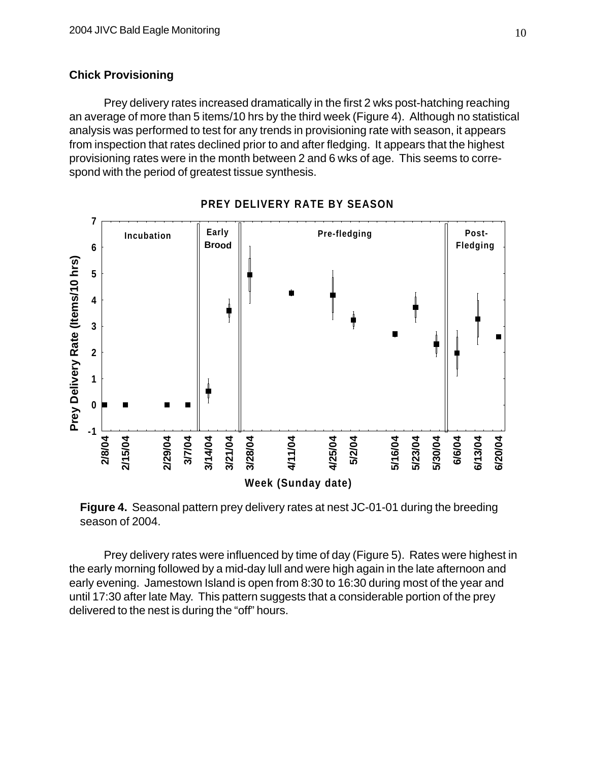#### **Chick Provisioning**

Prey delivery rates increased dramatically in the first 2 wks post-hatching reaching an average of more than 5 items/10 hrs by the third week (Figure 4). Although no statistical analysis was performed to test for any trends in provisioning rate with season, it appears from inspection that rates declined prior to and after fledging. It appears that the highest provisioning rates were in the month between 2 and 6 wks of age. This seems to correspond with the period of greatest tissue synthesis.



**PREY DELIVERY RATE BY SEASON**

**Figure 4.** Seasonal pattern prey delivery rates at nest JC-01-01 during the breeding season of 2004.

Prey delivery rates were influenced by time of day (Figure 5). Rates were highest in the early morning followed by a mid-day lull and were high again in the late afternoon and early evening. Jamestown Island is open from 8:30 to 16:30 during most of the year and until 17:30 after late May. This pattern suggests that a considerable portion of the prey delivered to the nest is during the "off" hours.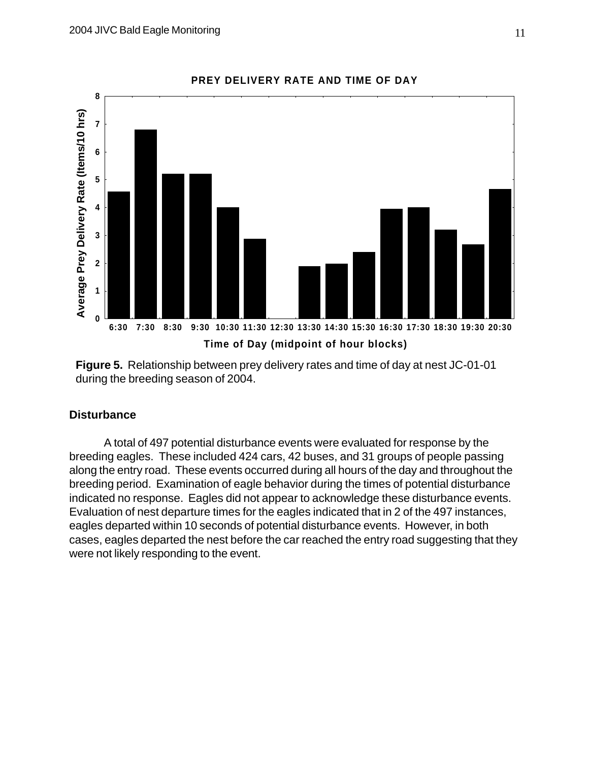

**Figure 5.** Relationship between prey delivery rates and time of day at nest JC-01-01 during the breeding season of 2004.

#### **Disturbance**

A total of 497 potential disturbance events were evaluated for response by the breeding eagles. These included 424 cars, 42 buses, and 31 groups of people passing along the entry road. These events occurred during all hours of the day and throughout the breeding period. Examination of eagle behavior during the times of potential disturbance indicated no response. Eagles did not appear to acknowledge these disturbance events. Evaluation of nest departure times for the eagles indicated that in 2 of the 497 instances, eagles departed within 10 seconds of potential disturbance events. However, in both cases, eagles departed the nest before the car reached the entry road suggesting that they were not likely responding to the event.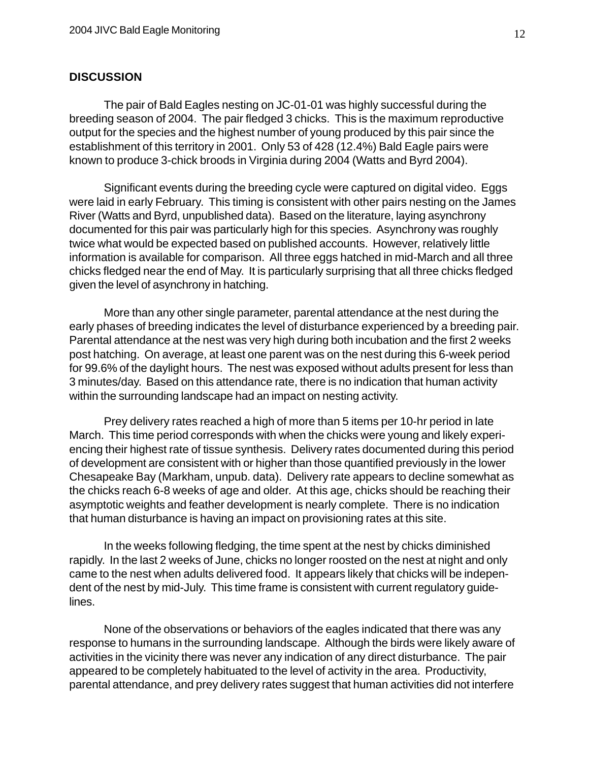#### **DISCUSSION**

The pair of Bald Eagles nesting on JC-01-01 was highly successful during the breeding season of 2004. The pair fledged 3 chicks. This is the maximum reproductive output for the species and the highest number of young produced by this pair since the establishment of this territory in 2001. Only 53 of 428 (12.4%) Bald Eagle pairs were known to produce 3-chick broods in Virginia during 2004 (Watts and Byrd 2004).

Significant events during the breeding cycle were captured on digital video. Eggs were laid in early February. This timing is consistent with other pairs nesting on the James River (Watts and Byrd, unpublished data). Based on the literature, laying asynchrony documented for this pair was particularly high for this species. Asynchrony was roughly twice what would be expected based on published accounts. However, relatively little information is available for comparison. All three eggs hatched in mid-March and all three chicks fledged near the end of May. It is particularly surprising that all three chicks fledged given the level of asynchrony in hatching.

More than any other single parameter, parental attendance at the nest during the early phases of breeding indicates the level of disturbance experienced by a breeding pair. Parental attendance at the nest was very high during both incubation and the first 2 weeks post hatching. On average, at least one parent was on the nest during this 6-week period for 99.6% of the daylight hours. The nest was exposed without adults present for less than 3 minutes/day. Based on this attendance rate, there is no indication that human activity within the surrounding landscape had an impact on nesting activity.

Prey delivery rates reached a high of more than 5 items per 10-hr period in late March. This time period corresponds with when the chicks were young and likely experiencing their highest rate of tissue synthesis. Delivery rates documented during this period of development are consistent with or higher than those quantified previously in the lower Chesapeake Bay (Markham, unpub. data). Delivery rate appears to decline somewhat as the chicks reach 6-8 weeks of age and older. At this age, chicks should be reaching their asymptotic weights and feather development is nearly complete. There is no indication that human disturbance is having an impact on provisioning rates at this site.

In the weeks following fledging, the time spent at the nest by chicks diminished rapidly. In the last 2 weeks of June, chicks no longer roosted on the nest at night and only came to the nest when adults delivered food. It appears likely that chicks will be independent of the nest by mid-July. This time frame is consistent with current regulatory guidelines.

None of the observations or behaviors of the eagles indicated that there was any response to humans in the surrounding landscape. Although the birds were likely aware of activities in the vicinity there was never any indication of any direct disturbance. The pair appeared to be completely habituated to the level of activity in the area. Productivity, parental attendance, and prey delivery rates suggest that human activities did not interfere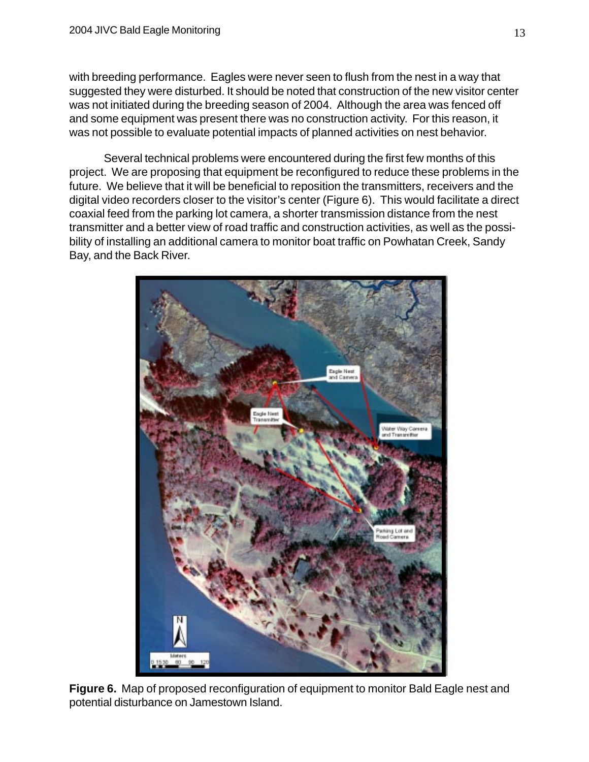with breeding performance. Eagles were never seen to flush from the nest in a way that suggested they were disturbed. It should be noted that construction of the new visitor center was not initiated during the breeding season of 2004. Although the area was fenced off and some equipment was present there was no construction activity. For this reason, it was not possible to evaluate potential impacts of planned activities on nest behavior.

Several technical problems were encountered during the first few months of this project. We are proposing that equipment be reconfigured to reduce these problems in the future. We believe that it will be beneficial to reposition the transmitters, receivers and the digital video recorders closer to the visitor's center (Figure 6). This would facilitate a direct coaxial feed from the parking lot camera, a shorter transmission distance from the nest transmitter and a better view of road traffic and construction activities, as well as the possibility of installing an additional camera to monitor boat traffic on Powhatan Creek, Sandy Bay, and the Back River.



**Figure 6.** Map of proposed reconfiguration of equipment to monitor Bald Eagle nest and potential disturbance on Jamestown Island.